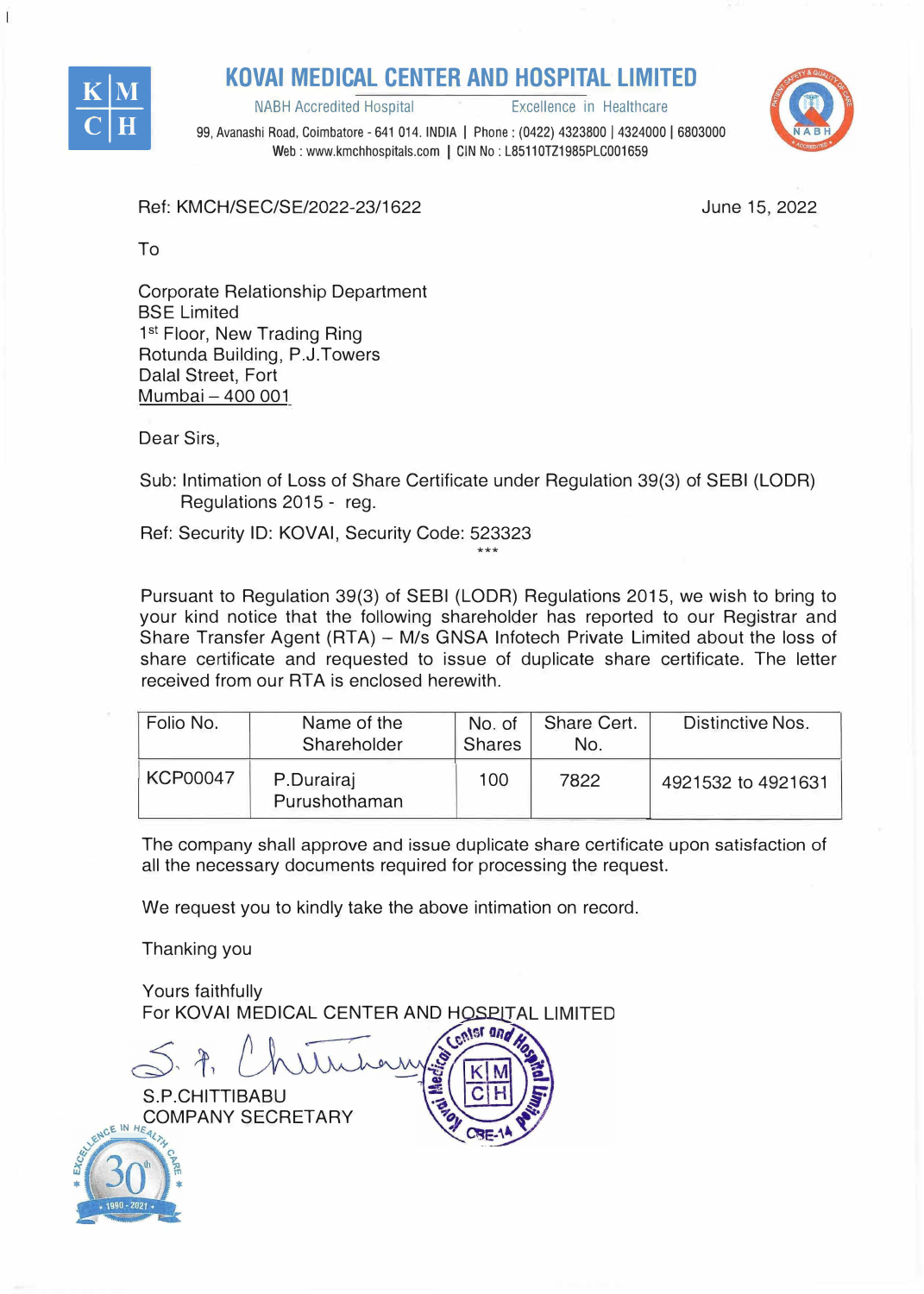

**KOVAI MEDICAL CENTER AND HOSPITAL LIMITED**<br>**Excellence in Healthcare** 

**NABH Accredited Hospital** 



99, Avanashi Road, Coimbatore - 641 014. INDIA I Phone: (0422) 4323800 I 4324000 I 6803000 Web: www.kmchhospitals.com | CIN No: L85110TZ1985PLC001659

Ref: KMCH/SEC/SE/2022-23/1622

June 15, 2022

To

Corporate Relationship Department BSE Limited 1 st Floor, New Trading Ring Rotunda Building, P.J.Towers Dalal Street, Fort Mumbai - 400 001

Dear Sirs,

Sub: Intimation of Loss of Share Certificate under Regulation 39(3) of SEBI (LODR) Regulations 2015 - reg.

Ref: Security ID: KOVAi, Security Code: 523323 \*\*\*

Pursuant to Regulation 39(3) of SEBI (LODR) Regulations 2015, we wish to bring to your kind notice that the following shareholder has reported to our Registrar and Share Transfer Agent (RTA) - M/s GNSA Infotech Private Limited about the loss of share certificate and requested to issue of duplicate share certificate. The letter received from our RTA is enclosed herewith.

| Folio No.       | Name of the<br>Shareholder  | No. of<br><b>Shares</b> | Share Cert.<br>No. | Distinctive Nos.   |
|-----------------|-----------------------------|-------------------------|--------------------|--------------------|
| <b>KCP00047</b> | P.Durairaj<br>Purushothaman | 100                     | 7822               | 4921532 to 4921631 |

The company shall approve and issue duplicate share certificate upon satisfaction of all the necessary documents required for processing the request.

We request you to kindly take the above intimation on record.

Thanking you

Yours faithfully For KOVAI MEDICAL CENTER AND HOSPITAL LIMITED

S.P.CHITTIBABU COMPANY SECRETARY  $e^{NCEINHE}$